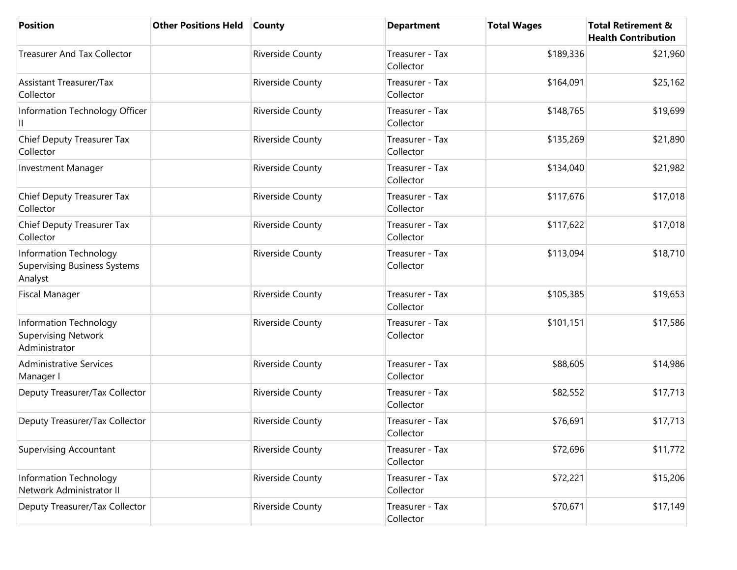| <b>Position</b>                                                          | <b>Other Positions Held</b> | <b>County</b>    | <b>Department</b>            | <b>Total Wages</b> | <b>Total Retirement &amp;</b><br><b>Health Contribution</b> |
|--------------------------------------------------------------------------|-----------------------------|------------------|------------------------------|--------------------|-------------------------------------------------------------|
| <b>Treasurer And Tax Collector</b>                                       |                             | Riverside County | Treasurer - Tax<br>Collector | \$189,336          | \$21,960                                                    |
| <b>Assistant Treasurer/Tax</b><br>Collector                              |                             | Riverside County | Treasurer - Tax<br>Collector | \$164,091          | \$25,162                                                    |
| Information Technology Officer                                           |                             | Riverside County | Treasurer - Tax<br>Collector | \$148,765          | \$19,699                                                    |
| Chief Deputy Treasurer Tax<br>Collector                                  |                             | Riverside County | Treasurer - Tax<br>Collector | \$135,269          | \$21,890                                                    |
| <b>Investment Manager</b>                                                |                             | Riverside County | Treasurer - Tax<br>Collector | \$134,040          | \$21,982                                                    |
| Chief Deputy Treasurer Tax<br>Collector                                  |                             | Riverside County | Treasurer - Tax<br>Collector | \$117,676          | \$17,018                                                    |
| Chief Deputy Treasurer Tax<br>Collector                                  |                             | Riverside County | Treasurer - Tax<br>Collector | \$117,622          | \$17,018                                                    |
| Information Technology<br><b>Supervising Business Systems</b><br>Analyst |                             | Riverside County | Treasurer - Tax<br>Collector | \$113,094          | \$18,710                                                    |
| <b>Fiscal Manager</b>                                                    |                             | Riverside County | Treasurer - Tax<br>Collector | \$105,385          | \$19,653                                                    |
| Information Technology<br><b>Supervising Network</b><br>Administrator    |                             | Riverside County | Treasurer - Tax<br>Collector | \$101,151          | \$17,586                                                    |
| <b>Administrative Services</b><br>Manager I                              |                             | Riverside County | Treasurer - Tax<br>Collector | \$88,605           | \$14,986                                                    |
| Deputy Treasurer/Tax Collector                                           |                             | Riverside County | Treasurer - Tax<br>Collector | \$82,552           | \$17,713                                                    |
| Deputy Treasurer/Tax Collector                                           |                             | Riverside County | Treasurer - Tax<br>Collector | \$76,691           | \$17,713                                                    |
| <b>Supervising Accountant</b>                                            |                             | Riverside County | Treasurer - Tax<br>Collector | \$72,696           | \$11,772                                                    |
| Information Technology<br>Network Administrator II                       |                             | Riverside County | Treasurer - Tax<br>Collector | \$72,221           | \$15,206                                                    |
| Deputy Treasurer/Tax Collector                                           |                             | Riverside County | Treasurer - Tax<br>Collector | \$70,671           | \$17,149                                                    |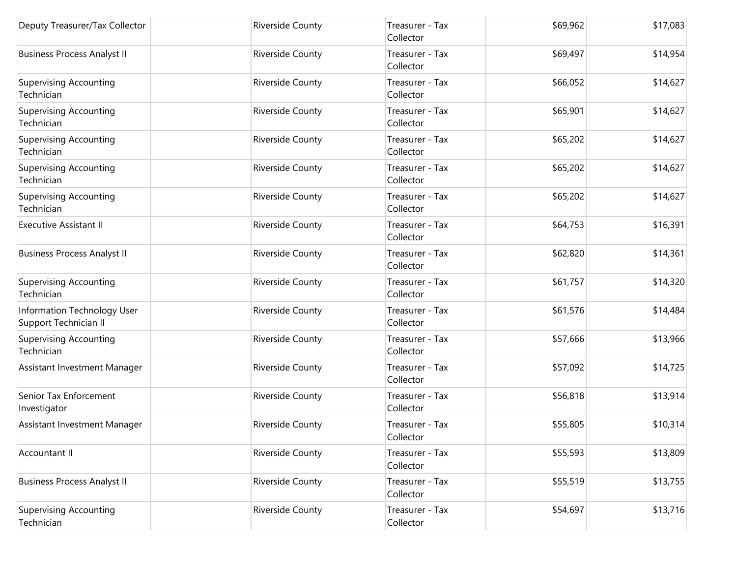| Deputy Treasurer/Tax Collector                       | <b>Riverside County</b> | Treasurer - Tax<br>Collector | \$69,962 | \$17,083 |
|------------------------------------------------------|-------------------------|------------------------------|----------|----------|
| <b>Business Process Analyst II</b>                   | <b>Riverside County</b> | Treasurer - Tax<br>Collector | \$69,497 | \$14,954 |
| <b>Supervising Accounting</b><br>Technician          | Riverside County        | Treasurer - Tax<br>Collector | \$66,052 | \$14,627 |
| <b>Supervising Accounting</b><br>Technician          | Riverside County        | Treasurer - Tax<br>Collector | \$65,901 | \$14,627 |
| Supervising Accounting<br>Technician                 | <b>Riverside County</b> | Treasurer - Tax<br>Collector | \$65,202 | \$14,627 |
| <b>Supervising Accounting</b><br>Technician          | Riverside County        | Treasurer - Tax<br>Collector | \$65,202 | \$14,627 |
| <b>Supervising Accounting</b><br>Technician          | <b>Riverside County</b> | Treasurer - Tax<br>Collector | \$65,202 | \$14,627 |
| <b>Executive Assistant II</b>                        | Riverside County        | Treasurer - Tax<br>Collector | \$64,753 | \$16,391 |
| <b>Business Process Analyst II</b>                   | <b>Riverside County</b> | Treasurer - Tax<br>Collector | \$62,820 | \$14,361 |
| <b>Supervising Accounting</b><br>Technician          | Riverside County        | Treasurer - Tax<br>Collector | \$61,757 | \$14,320 |
| Information Technology User<br>Support Technician II | <b>Riverside County</b> | Treasurer - Tax<br>Collector | \$61,576 | \$14,484 |
| <b>Supervising Accounting</b><br>Technician          | Riverside County        | Treasurer - Tax<br>Collector | \$57,666 | \$13,966 |
| Assistant Investment Manager                         | Riverside County        | Treasurer - Tax<br>Collector | \$57,092 | \$14,725 |
| Senior Tax Enforcement<br>Investigator               | <b>Riverside County</b> | Treasurer - Tax<br>Collector | \$56,818 | \$13,914 |
| Assistant Investment Manager                         | Riverside County        | Treasurer - Tax<br>Collector | \$55,805 | \$10,314 |
| Accountant II                                        | Riverside County        | Treasurer - Tax<br>Collector | \$55,593 | \$13,809 |
| <b>Business Process Analyst II</b>                   | Riverside County        | Treasurer - Tax<br>Collector | \$55,519 | \$13,755 |
| <b>Supervising Accounting</b><br>Technician          | Riverside County        | Treasurer - Tax<br>Collector | \$54,697 | \$13,716 |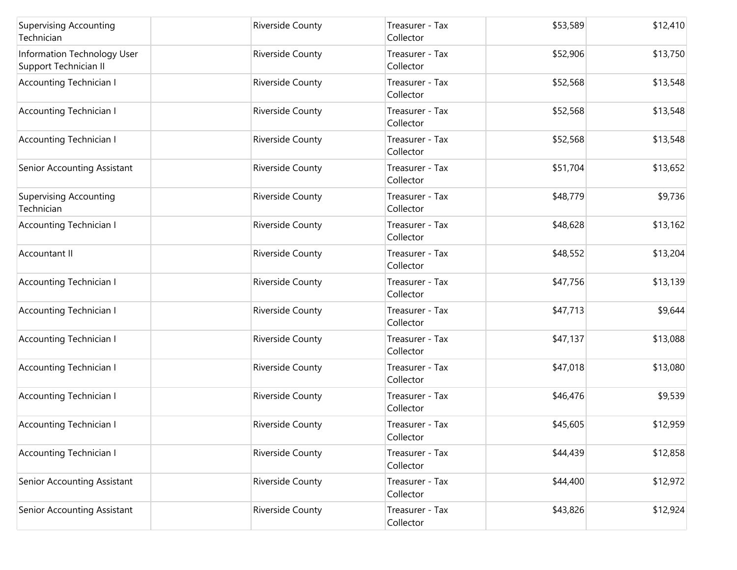| <b>Supervising Accounting</b><br>Technician          | <b>Riverside County</b> | Treasurer - Tax<br>Collector | \$53,589 | \$12,410 |
|------------------------------------------------------|-------------------------|------------------------------|----------|----------|
| Information Technology User<br>Support Technician II | Riverside County        | Treasurer - Tax<br>Collector | \$52,906 | \$13,750 |
| <b>Accounting Technician I</b>                       | Riverside County        | Treasurer - Tax<br>Collector | \$52,568 | \$13,548 |
| <b>Accounting Technician I</b>                       | Riverside County        | Treasurer - Tax<br>Collector | \$52,568 | \$13,548 |
| <b>Accounting Technician I</b>                       | <b>Riverside County</b> | Treasurer - Tax<br>Collector | \$52,568 | \$13,548 |
| Senior Accounting Assistant                          | Riverside County        | Treasurer - Tax<br>Collector | \$51,704 | \$13,652 |
| <b>Supervising Accounting</b><br>Technician          | <b>Riverside County</b> | Treasurer - Tax<br>Collector | \$48,779 | \$9,736  |
| <b>Accounting Technician I</b>                       | Riverside County        | Treasurer - Tax<br>Collector | \$48,628 | \$13,162 |
| Accountant II                                        | <b>Riverside County</b> | Treasurer - Tax<br>Collector | \$48,552 | \$13,204 |
| <b>Accounting Technician I</b>                       | Riverside County        | Treasurer - Tax<br>Collector | \$47,756 | \$13,139 |
| <b>Accounting Technician I</b>                       | <b>Riverside County</b> | Treasurer - Tax<br>Collector | \$47,713 | \$9,644  |
| <b>Accounting Technician I</b>                       | Riverside County        | Treasurer - Tax<br>Collector | \$47,137 | \$13,088 |
| <b>Accounting Technician I</b>                       | Riverside County        | Treasurer - Tax<br>Collector | \$47,018 | \$13,080 |
| <b>Accounting Technician I</b>                       | <b>Riverside County</b> | Treasurer - Tax<br>Collector | \$46,476 | \$9,539  |
| <b>Accounting Technician I</b>                       | Riverside County        | Treasurer - Tax<br>Collector | \$45,605 | \$12,959 |
| <b>Accounting Technician I</b>                       | Riverside County        | Treasurer - Tax<br>Collector | \$44,439 | \$12,858 |
| Senior Accounting Assistant                          | Riverside County        | Treasurer - Tax<br>Collector | \$44,400 | \$12,972 |
| Senior Accounting Assistant                          | Riverside County        | Treasurer - Tax<br>Collector | \$43,826 | \$12,924 |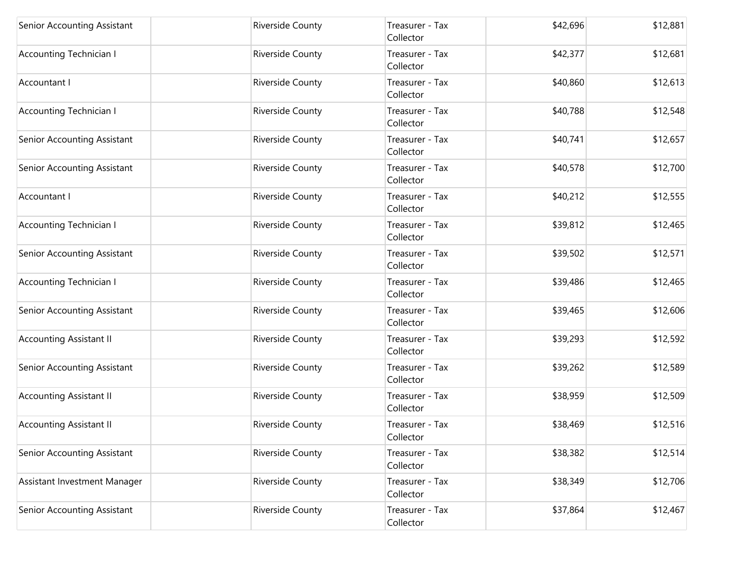| Senior Accounting Assistant    | Riverside County        | Treasurer - Tax<br>Collector | \$42,696 | \$12,881 |
|--------------------------------|-------------------------|------------------------------|----------|----------|
| Accounting Technician I        | <b>Riverside County</b> | Treasurer - Tax<br>Collector | \$42,377 | \$12,681 |
| Accountant I                   | Riverside County        | Treasurer - Tax<br>Collector | \$40,860 | \$12,613 |
| <b>Accounting Technician I</b> | Riverside County        | Treasurer - Tax<br>Collector | \$40,788 | \$12,548 |
| Senior Accounting Assistant    | Riverside County        | Treasurer - Tax<br>Collector | \$40,741 | \$12,657 |
| Senior Accounting Assistant    | Riverside County        | Treasurer - Tax<br>Collector | \$40,578 | \$12,700 |
| Accountant I                   | Riverside County        | Treasurer - Tax<br>Collector | \$40,212 | \$12,555 |
| <b>Accounting Technician I</b> | <b>Riverside County</b> | Treasurer - Tax<br>Collector | \$39,812 | \$12,465 |
| Senior Accounting Assistant    | Riverside County        | Treasurer - Tax<br>Collector | \$39,502 | \$12,571 |
| <b>Accounting Technician I</b> | <b>Riverside County</b> | Treasurer - Tax<br>Collector | \$39,486 | \$12,465 |
| Senior Accounting Assistant    | Riverside County        | Treasurer - Tax<br>Collector | \$39,465 | \$12,606 |
| <b>Accounting Assistant II</b> | Riverside County        | Treasurer - Tax<br>Collector | \$39,293 | \$12,592 |
| Senior Accounting Assistant    | <b>Riverside County</b> | Treasurer - Tax<br>Collector | \$39,262 | \$12,589 |
| <b>Accounting Assistant II</b> | Riverside County        | Treasurer - Tax<br>Collector | \$38,959 | \$12,509 |
| <b>Accounting Assistant II</b> | Riverside County        | Treasurer - Tax<br>Collector | \$38,469 | \$12,516 |
| Senior Accounting Assistant    | Riverside County        | Treasurer - Tax<br>Collector | \$38,382 | \$12,514 |
| Assistant Investment Manager   | <b>Riverside County</b> | Treasurer - Tax<br>Collector | \$38,349 | \$12,706 |
| Senior Accounting Assistant    | Riverside County        | Treasurer - Tax<br>Collector | \$37,864 | \$12,467 |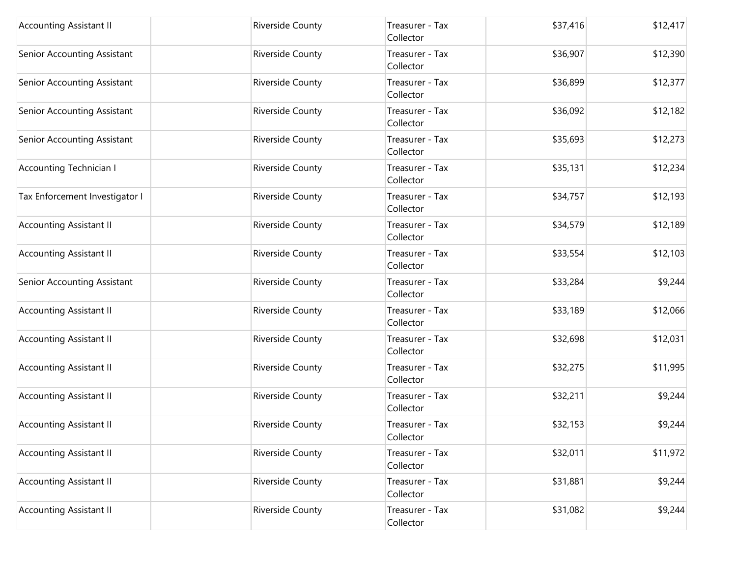| <b>Accounting Assistant II</b> | Riverside County        | Treasurer - Tax<br>Collector | \$37,416 | \$12,417 |
|--------------------------------|-------------------------|------------------------------|----------|----------|
| Senior Accounting Assistant    | <b>Riverside County</b> | Treasurer - Tax<br>Collector | \$36,907 | \$12,390 |
| Senior Accounting Assistant    | Riverside County        | Treasurer - Tax<br>Collector | \$36,899 | \$12,377 |
| Senior Accounting Assistant    | Riverside County        | Treasurer - Tax<br>Collector | \$36,092 | \$12,182 |
| Senior Accounting Assistant    | Riverside County        | Treasurer - Tax<br>Collector | \$35,693 | \$12,273 |
| <b>Accounting Technician I</b> | Riverside County        | Treasurer - Tax<br>Collector | \$35,131 | \$12,234 |
| Tax Enforcement Investigator I | Riverside County        | Treasurer - Tax<br>Collector | \$34,757 | \$12,193 |
| <b>Accounting Assistant II</b> | <b>Riverside County</b> | Treasurer - Tax<br>Collector | \$34,579 | \$12,189 |
| <b>Accounting Assistant II</b> | Riverside County        | Treasurer - Tax<br>Collector | \$33,554 | \$12,103 |
| Senior Accounting Assistant    | <b>Riverside County</b> | Treasurer - Tax<br>Collector | \$33,284 | \$9,244  |
| <b>Accounting Assistant II</b> | <b>Riverside County</b> | Treasurer - Tax<br>Collector | \$33,189 | \$12,066 |
| <b>Accounting Assistant II</b> | Riverside County        | Treasurer - Tax<br>Collector | \$32,698 | \$12,031 |
| <b>Accounting Assistant II</b> | Riverside County        | Treasurer - Tax<br>Collector | \$32,275 | \$11,995 |
| <b>Accounting Assistant II</b> | Riverside County        | Treasurer - Tax<br>Collector | \$32,211 | \$9,244  |
| <b>Accounting Assistant II</b> | Riverside County        | Treasurer - Tax<br>Collector | \$32,153 | \$9,244  |
| <b>Accounting Assistant II</b> | <b>Riverside County</b> | Treasurer - Tax<br>Collector | \$32,011 | \$11,972 |
| <b>Accounting Assistant II</b> | <b>Riverside County</b> | Treasurer - Tax<br>Collector | \$31,881 | \$9,244  |
| <b>Accounting Assistant II</b> | <b>Riverside County</b> | Treasurer - Tax<br>Collector | \$31,082 | \$9,244  |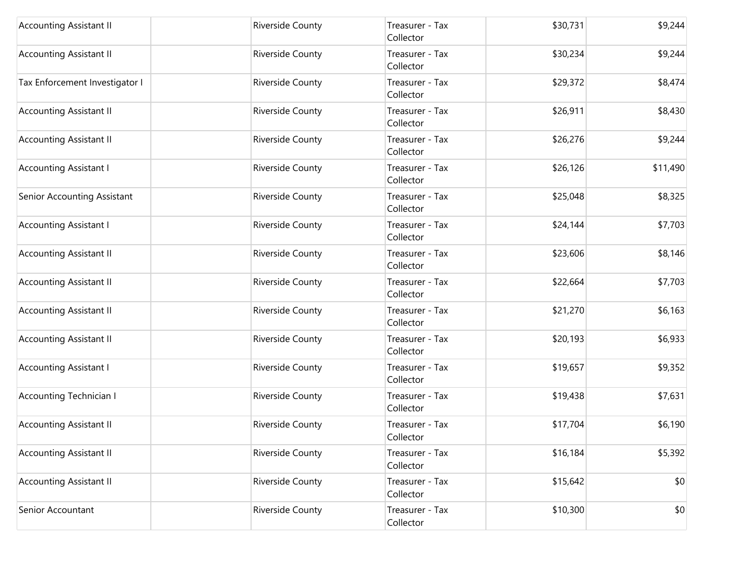| <b>Accounting Assistant II</b> | Riverside County        | Treasurer - Tax<br>Collector | \$30,731 | \$9,244  |
|--------------------------------|-------------------------|------------------------------|----------|----------|
| <b>Accounting Assistant II</b> | <b>Riverside County</b> | Treasurer - Tax<br>Collector | \$30,234 | \$9,244  |
| Tax Enforcement Investigator I | Riverside County        | Treasurer - Tax<br>Collector | \$29,372 | \$8,474  |
| <b>Accounting Assistant II</b> | Riverside County        | Treasurer - Tax<br>Collector | \$26,911 | \$8,430  |
| <b>Accounting Assistant II</b> | Riverside County        | Treasurer - Tax<br>Collector | \$26,276 | \$9,244  |
| <b>Accounting Assistant I</b>  | <b>Riverside County</b> | Treasurer - Tax<br>Collector | \$26,126 | \$11,490 |
| Senior Accounting Assistant    | Riverside County        | Treasurer - Tax<br>Collector | \$25,048 | \$8,325  |
| <b>Accounting Assistant I</b>  | Riverside County        | Treasurer - Tax<br>Collector | \$24,144 | \$7,703  |
| <b>Accounting Assistant II</b> | Riverside County        | Treasurer - Tax<br>Collector | \$23,606 | \$8,146  |
| <b>Accounting Assistant II</b> | Riverside County        | Treasurer - Tax<br>Collector | \$22,664 | \$7,703  |
| <b>Accounting Assistant II</b> | Riverside County        | Treasurer - Tax<br>Collector | \$21,270 | \$6,163  |
| <b>Accounting Assistant II</b> | Riverside County        | Treasurer - Tax<br>Collector | \$20,193 | \$6,933  |
| <b>Accounting Assistant I</b>  | Riverside County        | Treasurer - Tax<br>Collector | \$19,657 | \$9,352  |
| <b>Accounting Technician I</b> | <b>Riverside County</b> | Treasurer - Tax<br>Collector | \$19,438 | \$7,631  |
| <b>Accounting Assistant II</b> | Riverside County        | Treasurer - Tax<br>Collector | \$17,704 | \$6,190  |
| <b>Accounting Assistant II</b> | Riverside County        | Treasurer - Tax<br>Collector | \$16,184 | \$5,392  |
| <b>Accounting Assistant II</b> | Riverside County        | Treasurer - Tax<br>Collector | \$15,642 | \$0      |
| Senior Accountant              | <b>Riverside County</b> | Treasurer - Tax<br>Collector | \$10,300 | \$0      |